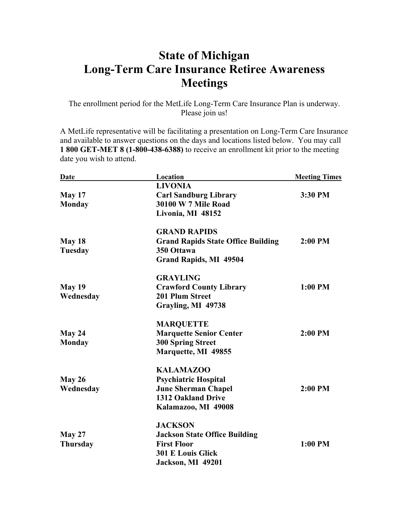## **State of Michigan Long-Term Care Insurance Retiree Awareness Meetings**

The enrollment period for the MetLife Long-Term Care Insurance Plan is underway. Please join us!

A MetLife representative will be facilitating a presentation on Long-Term Care Insurance and available to answer questions on the days and locations listed below. You may call **1 800 GET-MET 8 (1-800-438-6388)** to receive an enrollment kit prior to the meeting date you wish to attend.

| <b>Date</b>     | Location                                  | <b>Meeting Times</b> |
|-----------------|-------------------------------------------|----------------------|
|                 | <b>LIVONIA</b>                            |                      |
| May 17          | <b>Carl Sandburg Library</b>              | 3:30 PM              |
| <b>Monday</b>   | <b>30100 W 7 Mile Road</b>                |                      |
|                 | Livonia, MI 48152                         |                      |
|                 | <b>GRAND RAPIDS</b>                       |                      |
| May 18          | <b>Grand Rapids State Office Building</b> | $2:00$ PM            |
| <b>Tuesday</b>  | 350 Ottawa                                |                      |
|                 | <b>Grand Rapids, MI 49504</b>             |                      |
|                 | <b>GRAYLING</b>                           |                      |
| <b>May 19</b>   | <b>Crawford County Library</b>            | 1:00 PM              |
| Wednesday       | 201 Plum Street                           |                      |
|                 | Grayling, MI 49738                        |                      |
|                 | <b>MARQUETTE</b>                          |                      |
| May 24          | <b>Marquette Senior Center</b>            | 2:00 PM              |
| <b>Monday</b>   | <b>300 Spring Street</b>                  |                      |
|                 | Marquette, MI 49855                       |                      |
|                 | <b>KALAMAZOO</b>                          |                      |
| May 26          | <b>Psychiatric Hospital</b>               |                      |
| Wednesday       | <b>June Sherman Chapel</b>                | 2:00 PM              |
|                 | <b>1312 Oakland Drive</b>                 |                      |
|                 | Kalamazoo, MI 49008                       |                      |
|                 | <b>JACKSON</b>                            |                      |
| May 27          | <b>Jackson State Office Building</b>      |                      |
| <b>Thursday</b> | <b>First Floor</b>                        | 1:00 PM              |
|                 | <b>301 E Louis Glick</b>                  |                      |
|                 | Jackson, MI 49201                         |                      |
|                 |                                           |                      |